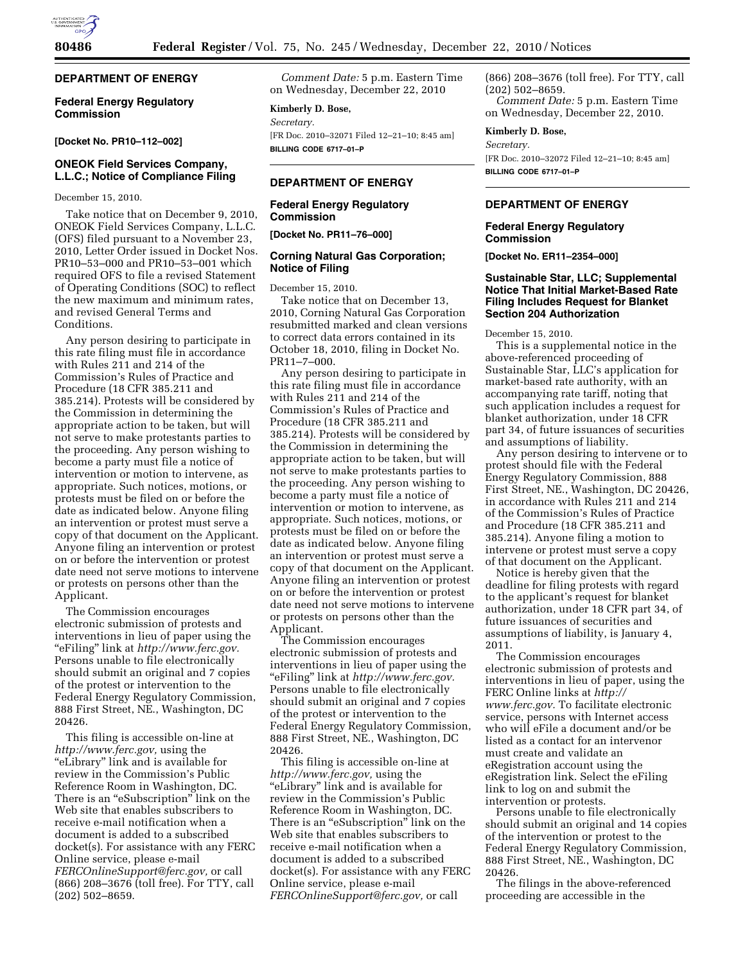

# **DEPARTMENT OF ENERGY**

## **Federal Energy Regulatory Commission**

#### **[Docket No. PR10–112–002]**

## **ONEOK Field Services Company, L.L.C.; Notice of Compliance Filing**

December 15, 2010.

Take notice that on December 9, 2010, ONEOK Field Services Company, L.L.C. (OFS) filed pursuant to a November 23, 2010, Letter Order issued in Docket Nos. PR10–53–000 and PR10–53–001 which required OFS to file a revised Statement of Operating Conditions (SOC) to reflect the new maximum and minimum rates, and revised General Terms and Conditions.

Any person desiring to participate in this rate filing must file in accordance with Rules 211 and 214 of the Commission's Rules of Practice and Procedure (18 CFR 385.211 and 385.214). Protests will be considered by the Commission in determining the appropriate action to be taken, but will not serve to make protestants parties to the proceeding. Any person wishing to become a party must file a notice of intervention or motion to intervene, as appropriate. Such notices, motions, or protests must be filed on or before the date as indicated below. Anyone filing an intervention or protest must serve a copy of that document on the Applicant. Anyone filing an intervention or protest on or before the intervention or protest date need not serve motions to intervene or protests on persons other than the Applicant.

The Commission encourages electronic submission of protests and interventions in lieu of paper using the ''eFiling'' link at *[http://www.ferc.gov.](http://www.ferc.gov)*  Persons unable to file electronically should submit an original and 7 copies of the protest or intervention to the Federal Energy Regulatory Commission, 888 First Street, NE., Washington, DC 20426.

This filing is accessible on-line at *[http://www.ferc.gov,](http://www.ferc.gov)* using the ''eLibrary'' link and is available for review in the Commission's Public Reference Room in Washington, DC. There is an ''eSubscription'' link on the Web site that enables subscribers to receive e-mail notification when a document is added to a subscribed docket(s). For assistance with any FERC Online service, please e-mail *[FERCOnlineSupport@ferc.gov,](mailto:FERCOnlineSupport@ferc.gov)* or call (866) 208–3676 (toll free). For TTY, call (202) 502–8659.

*Comment Date:* 5 p.m. Eastern Time on Wednesday, December 22, 2010

#### **Kimberly D. Bose,**

*Secretary.*  [FR Doc. 2010–32071 Filed 12–21–10; 8:45 am] **BILLING CODE 6717–01–P** 

## **DEPARTMENT OF ENERGY**

#### **Federal Energy Regulatory Commission**

**[Docket No. PR11–76–000]** 

### **Corning Natural Gas Corporation; Notice of Filing**

December 15, 2010.

Take notice that on December 13, 2010, Corning Natural Gas Corporation resubmitted marked and clean versions to correct data errors contained in its October 18, 2010, filing in Docket No. PR11–7–000.

Any person desiring to participate in this rate filing must file in accordance with Rules 211 and 214 of the Commission's Rules of Practice and Procedure (18 CFR 385.211 and 385.214). Protests will be considered by the Commission in determining the appropriate action to be taken, but will not serve to make protestants parties to the proceeding. Any person wishing to become a party must file a notice of intervention or motion to intervene, as appropriate. Such notices, motions, or protests must be filed on or before the date as indicated below. Anyone filing an intervention or protest must serve a copy of that document on the Applicant. Anyone filing an intervention or protest on or before the intervention or protest date need not serve motions to intervene or protests on persons other than the Applicant.

The Commission encourages electronic submission of protests and interventions in lieu of paper using the ''eFiling'' link at *[http://www.ferc.gov.](http://www.ferc.gov)*  Persons unable to file electronically should submit an original and 7 copies of the protest or intervention to the Federal Energy Regulatory Commission, 888 First Street, NE., Washington, DC 20426.

This filing is accessible on-line at *[http://www.ferc.gov,](http://www.ferc.gov)* using the ''eLibrary'' link and is available for review in the Commission's Public Reference Room in Washington, DC. There is an "eSubscription" link on the Web site that enables subscribers to receive e-mail notification when a document is added to a subscribed docket(s). For assistance with any FERC Online service, please e-mail *[FERCOnlineSupport@ferc.gov,](mailto:FERCOnlineSupport@ferc.gov)* or call

(866) 208–3676 (toll free). For TTY, call (202) 502–8659. *Comment Date:* 5 p.m. Eastern Time on Wednesday, December 22, 2010.

**Kimberly D. Bose,** 

*Secretary.* 

[FR Doc. 2010–32072 Filed 12–21–10; 8:45 am] **BILLING CODE 6717–01–P** 

#### **DEPARTMENT OF ENERGY**

#### **Federal Energy Regulatory Commission**

**[Docket No. ER11–2354–000]** 

### **Sustainable Star, LLC; Supplemental Notice That Initial Market-Based Rate Filing Includes Request for Blanket Section 204 Authorization**

December 15, 2010.

This is a supplemental notice in the above-referenced proceeding of Sustainable Star, LLC's application for market-based rate authority, with an accompanying rate tariff, noting that such application includes a request for blanket authorization, under 18 CFR part 34, of future issuances of securities and assumptions of liability.

Any person desiring to intervene or to protest should file with the Federal Energy Regulatory Commission, 888 First Street, NE., Washington, DC 20426, in accordance with Rules 211 and 214 of the Commission's Rules of Practice and Procedure (18 CFR 385.211 and 385.214). Anyone filing a motion to intervene or protest must serve a copy of that document on the Applicant.

Notice is hereby given that the deadline for filing protests with regard to the applicant's request for blanket authorization, under 18 CFR part 34, of future issuances of securities and assumptions of liability, is January 4, 2011.

The Commission encourages electronic submission of protests and interventions in lieu of paper, using the FERC Online links at *[http://](http://www.ferc.gov)  [www.ferc.gov.](http://www.ferc.gov)* To facilitate electronic service, persons with Internet access who will eFile a document and/or be listed as a contact for an intervenor must create and validate an eRegistration account using the eRegistration link. Select the eFiling link to log on and submit the intervention or protests.

Persons unable to file electronically should submit an original and 14 copies of the intervention or protest to the Federal Energy Regulatory Commission, 888 First Street, NE., Washington, DC 20426.

The filings in the above-referenced proceeding are accessible in the